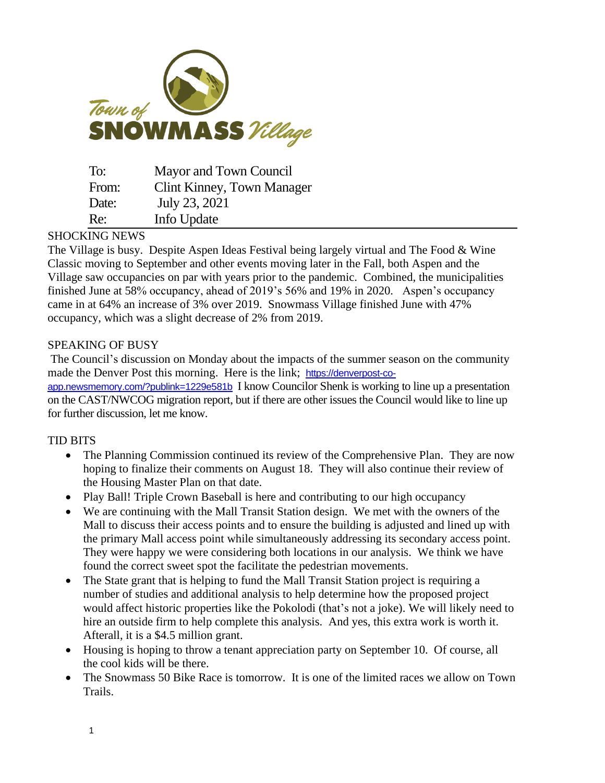

| To:   | Mayor and Town Council     |
|-------|----------------------------|
| From: | Clint Kinney, Town Manager |
| Date: | July 23, 2021              |
| Re:   | Info Update                |

## SHOCKING NEWS

The Village is busy. Despite Aspen Ideas Festival being largely virtual and The Food & Wine Classic moving to September and other events moving later in the Fall, both Aspen and the Village saw occupancies on par with years prior to the pandemic. Combined, the municipalities finished June at 58% occupancy, ahead of 2019's 56% and 19% in 2020. Aspen's occupancy came in at 64% an increase of 3% over 2019. Snowmass Village finished June with 47% occupancy, which was a slight decrease of 2% from 2019.

## SPEAKING OF BUSY

The Council's discussion on Monday about the impacts of the summer season on the community made the Denver Post this morning. Here is the link; [https://denverpost-co-](https://denverpost-co-app.newsmemory.com/?publink=1229e581b)

[app.newsmemory.com/?publink=1229e581b](https://denverpost-co-app.newsmemory.com/?publink=1229e581b) I know Councilor Shenk is working to line up a presentation on the CAST/NWCOG migration report, but if there are other issues the Council would like to line up for further discussion, let me know.

## TID BITS

- The Planning Commission continued its review of the Comprehensive Plan. They are now hoping to finalize their comments on August 18. They will also continue their review of the Housing Master Plan on that date.
- Play Ball! Triple Crown Baseball is here and contributing to our high occupancy
- We are continuing with the Mall Transit Station design. We met with the owners of the Mall to discuss their access points and to ensure the building is adjusted and lined up with the primary Mall access point while simultaneously addressing its secondary access point. They were happy we were considering both locations in our analysis. We think we have found the correct sweet spot the facilitate the pedestrian movements.
- The State grant that is helping to fund the Mall Transit Station project is requiring a number of studies and additional analysis to help determine how the proposed project would affect historic properties like the Pokolodi (that's not a joke). We will likely need to hire an outside firm to help complete this analysis. And yes, this extra work is worth it. Afterall, it is a \$4.5 million grant.
- Housing is hoping to throw a tenant appreciation party on September 10. Of course, all the cool kids will be there.
- The Snowmass 50 Bike Race is tomorrow. It is one of the limited races we allow on Town Trails.